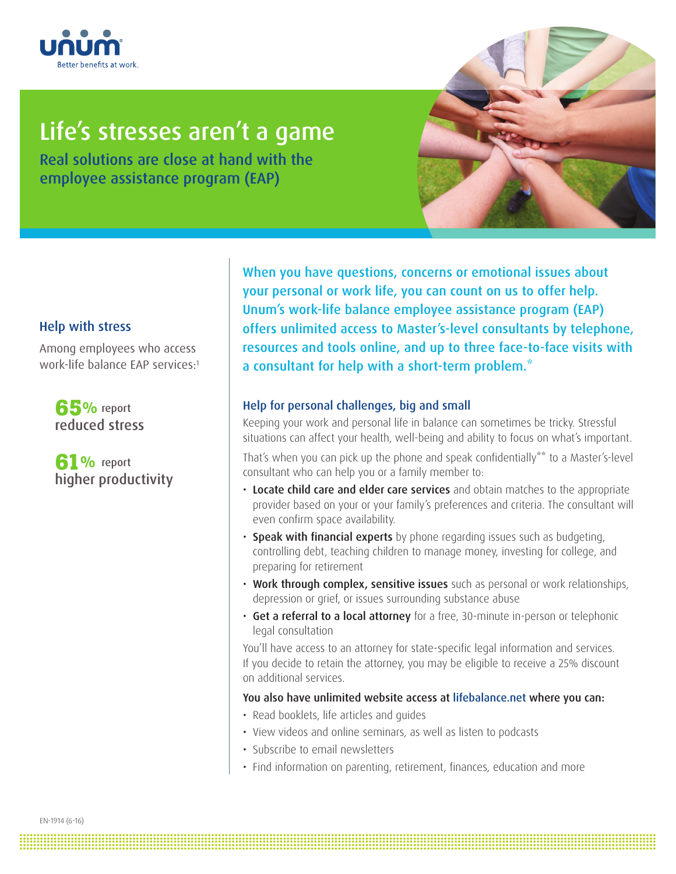

# Life's stresses aren't a game

Real solutions are close at hand with the employee assistance program (EAP)



## Help with stress

Among employees who access work-life balance EAP services:1

**65%** report reduced stress

**61%** report higher productivity

When you have questions, concerns or emotional issues about your personal or work life, you can count on us to offer help. Unum's work-life balance employee assistance program (EAP) offers unlimited access to Master's-level consultants by telephone, resources and tools online, and up to three face-to-face visits with a consultant for help with a short-term problem.\*

## Help for personal challenges, big and small

Keeping your work and personal life in balance can sometimes be tricky. Stressful situations can affect your health, well-being and ability to focus on what's important.

That's when you can pick up the phone and speak confidentially\*\* to a Master's-level consultant who can help you or a family member to:

- Locate child care and elder care services and obtain matches to the appropriate provider based on your or your family's preferences and criteria. The consultant will even confirm space availability.
- Speak with financial experts by phone regarding issues such as budgeting, controlling debt, teaching children to manage money, investing for college, and preparing for retirement
- Work through complex, sensitive issues such as personal or work relationships, depression or grief, or issues surrounding substance abuse
- Get a referral to a local attorney for a free, 30-minute in-person or telephonic legal consultation

You'll have access to an attorney for state-specific legal information and services. If you decide to retain the attorney, you may be eligible to receive a 25% discount on additional services.

#### You also have unlimited website access at lifebalance.net where you can:

• Read booklets, life articles and guides

**.......................................................................................................................................................................................... .......................................................................................................................................................................................... .......................................................................................................................................................................................... .......................................................................................................................................................................................... ..........................................................................................................................................................................................**

- View videos and online seminars, as well as listen to podcasts
- Subscribe to email newsletters
- Find information on parenting, retirement, finances, education and more